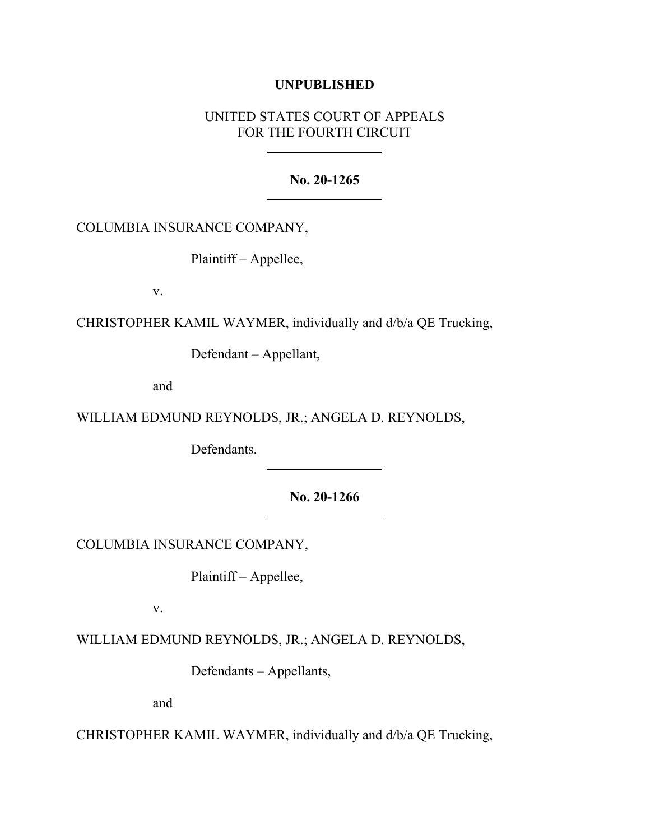## **UNPUBLISHED**

# UNITED STATES COURT OF APPEALS FOR THE FOURTH CIRCUIT

#### **No. 20-1265**

COLUMBIA INSURANCE COMPANY,

Plaintiff – Appellee,

v.

CHRISTOPHER KAMIL WAYMER, individually and d/b/a QE Trucking,

Defendant – Appellant,

and

WILLIAM EDMUND REYNOLDS, JR.; ANGELA D. REYNOLDS,

Defendants.

**No. 20-1266**

COLUMBIA INSURANCE COMPANY,

Plaintiff – Appellee,

v.

WILLIAM EDMUND REYNOLDS, JR.; ANGELA D. REYNOLDS,

Defendants – Appellants,

and

CHRISTOPHER KAMIL WAYMER, individually and d/b/a QE Trucking,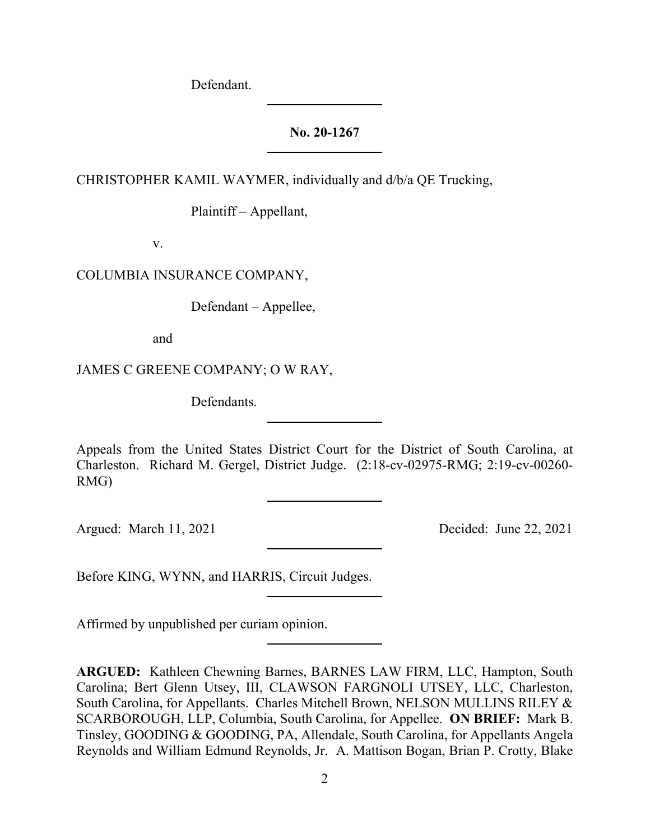Defendant.

# **No. 20-1267**

CHRISTOPHER KAMIL WAYMER, individually and d/b/a QE Trucking,

Plaintiff – Appellant,

v.

COLUMBIA INSURANCE COMPANY,

Defendant – Appellee,

and

JAMES C GREENE COMPANY; O W RAY,

Defendants.

Appeals from the United States District Court for the District of South Carolina, at Charleston. Richard M. Gergel, District Judge. (2:18-cv-02975-RMG; 2:19-cv-00260- RMG)

Argued: March 11, 2021 Decided: June 22, 2021

Before KING, WYNN, and HARRIS, Circuit Judges.

Affirmed by unpublished per curiam opinion.

**ARGUED:** Kathleen Chewning Barnes, BARNES LAW FIRM, LLC, Hampton, South Carolina; Bert Glenn Utsey, III, CLAWSON FARGNOLI UTSEY, LLC, Charleston, South Carolina, for Appellants. Charles Mitchell Brown, NELSON MULLINS RILEY & SCARBOROUGH, LLP, Columbia, South Carolina, for Appellee. **ON BRIEF:** Mark B. Tinsley, GOODING & GOODING, PA, Allendale, South Carolina, for Appellants Angela Reynolds and William Edmund Reynolds, Jr. A. Mattison Bogan, Brian P. Crotty, Blake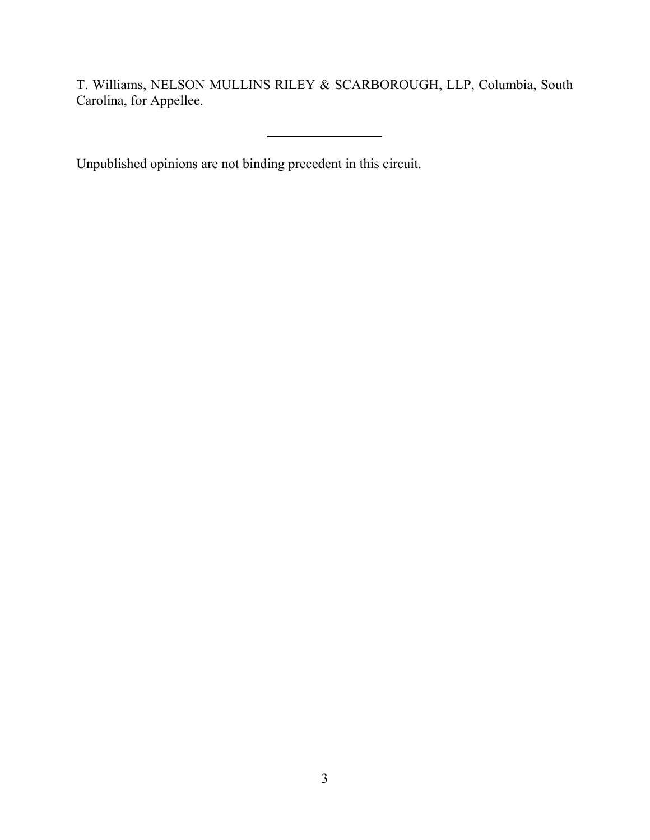T. Williams, NELSON MULLINS RILEY & SCARBOROUGH, LLP, Columbia, South Carolina, for Appellee.

Unpublished opinions are not binding precedent in this circuit.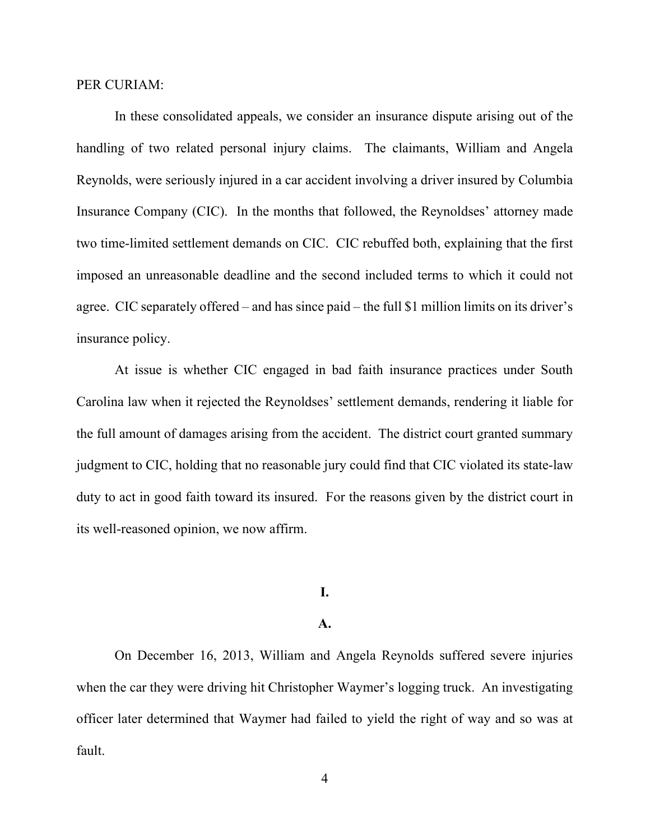PER CURIAM:

In these consolidated appeals, we consider an insurance dispute arising out of the handling of two related personal injury claims. The claimants, William and Angela Reynolds, were seriously injured in a car accident involving a driver insured by Columbia Insurance Company (CIC). In the months that followed, the Reynoldses' attorney made two time-limited settlement demands on CIC. CIC rebuffed both, explaining that the first imposed an unreasonable deadline and the second included terms to which it could not agree. CIC separately offered – and has since paid – the full \$1 million limits on its driver's insurance policy.

At issue is whether CIC engaged in bad faith insurance practices under South Carolina law when it rejected the Reynoldses' settlement demands, rendering it liable for the full amount of damages arising from the accident. The district court granted summary judgment to CIC, holding that no reasonable jury could find that CIC violated its state-law duty to act in good faith toward its insured. For the reasons given by the district court in its well-reasoned opinion, we now affirm.

## **I.**

#### **A.**

On December 16, 2013, William and Angela Reynolds suffered severe injuries when the car they were driving hit Christopher Waymer's logging truck. An investigating officer later determined that Waymer had failed to yield the right of way and so was at fault.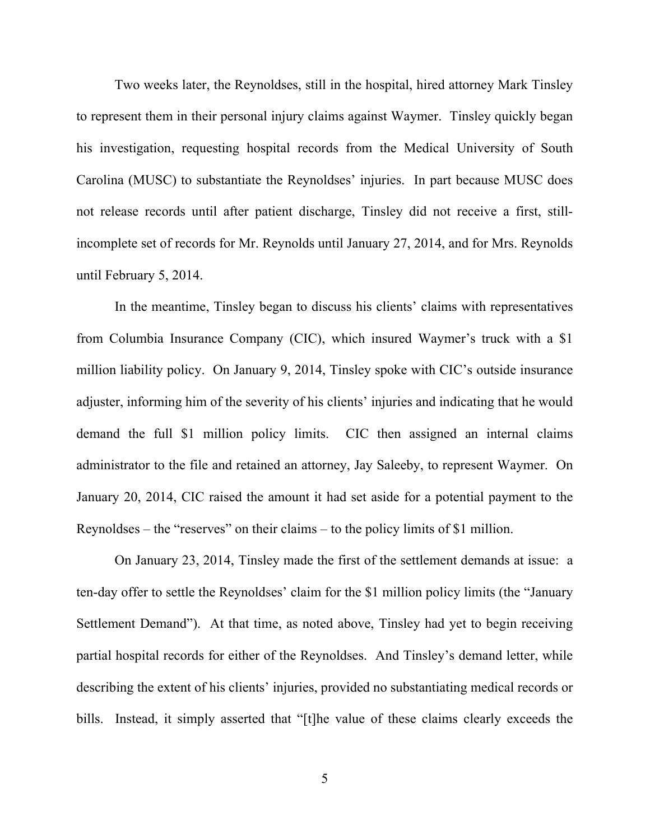Two weeks later, the Reynoldses, still in the hospital, hired attorney Mark Tinsley to represent them in their personal injury claims against Waymer. Tinsley quickly began his investigation, requesting hospital records from the Medical University of South Carolina (MUSC) to substantiate the Reynoldses' injuries. In part because MUSC does not release records until after patient discharge, Tinsley did not receive a first, stillincomplete set of records for Mr. Reynolds until January 27, 2014, and for Mrs. Reynolds until February 5, 2014.

In the meantime, Tinsley began to discuss his clients' claims with representatives from Columbia Insurance Company (CIC), which insured Waymer's truck with a \$1 million liability policy. On January 9, 2014, Tinsley spoke with CIC's outside insurance adjuster, informing him of the severity of his clients' injuries and indicating that he would demand the full \$1 million policy limits. CIC then assigned an internal claims administrator to the file and retained an attorney, Jay Saleeby, to represent Waymer. On January 20, 2014, CIC raised the amount it had set aside for a potential payment to the Reynoldses – the "reserves" on their claims – to the policy limits of \$1 million.

On January 23, 2014, Tinsley made the first of the settlement demands at issue: a ten-day offer to settle the Reynoldses' claim for the \$1 million policy limits (the "January Settlement Demand"). At that time, as noted above, Tinsley had yet to begin receiving partial hospital records for either of the Reynoldses. And Tinsley's demand letter, while describing the extent of his clients' injuries, provided no substantiating medical records or bills. Instead, it simply asserted that "[t]he value of these claims clearly exceeds the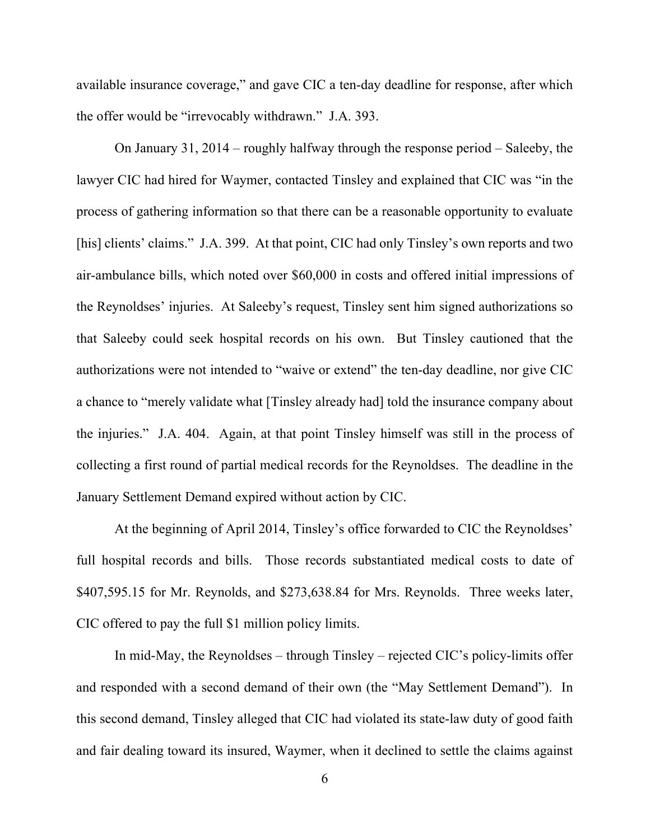available insurance coverage," and gave CIC a ten-day deadline for response, after which the offer would be "irrevocably withdrawn." J.A. 393.

On January 31, 2014 – roughly halfway through the response period – Saleeby, the lawyer CIC had hired for Waymer, contacted Tinsley and explained that CIC was "in the process of gathering information so that there can be a reasonable opportunity to evaluate [his] clients' claims." J.A. 399. At that point, CIC had only Tinsley's own reports and two air-ambulance bills, which noted over \$60,000 in costs and offered initial impressions of the Reynoldses' injuries. At Saleeby's request, Tinsley sent him signed authorizations so that Saleeby could seek hospital records on his own. But Tinsley cautioned that the authorizations were not intended to "waive or extend" the ten-day deadline, nor give CIC a chance to "merely validate what [Tinsley already had] told the insurance company about the injuries." J.A. 404. Again, at that point Tinsley himself was still in the process of collecting a first round of partial medical records for the Reynoldses. The deadline in the January Settlement Demand expired without action by CIC.

At the beginning of April 2014, Tinsley's office forwarded to CIC the Reynoldses' full hospital records and bills. Those records substantiated medical costs to date of \$407,595.15 for Mr. Reynolds, and \$273,638.84 for Mrs. Reynolds. Three weeks later, CIC offered to pay the full \$1 million policy limits.

In mid-May, the Reynoldses – through Tinsley – rejected CIC's policy-limits offer and responded with a second demand of their own (the "May Settlement Demand"). In this second demand, Tinsley alleged that CIC had violated its state-law duty of good faith and fair dealing toward its insured, Waymer, when it declined to settle the claims against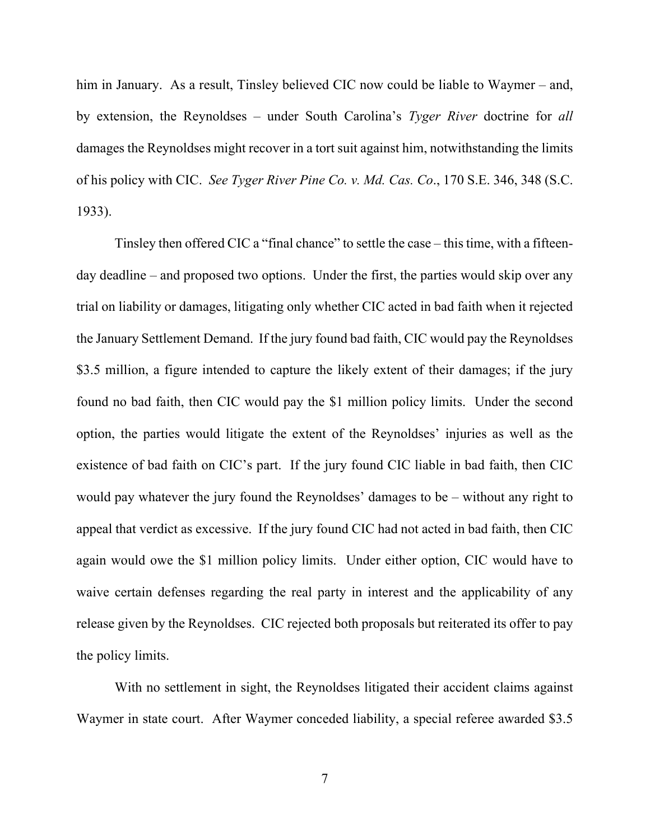him in January. As a result, Tinsley believed CIC now could be liable to Waymer – and, by extension, the Reynoldses – under South Carolina's *Tyger River* doctrine for *all*  damages the Reynoldses might recover in a tort suit against him, notwithstanding the limits of his policy with CIC. *See Tyger River Pine Co. v. Md. Cas. Co*., 170 S.E. 346, 348 (S.C. 1933).

Tinsley then offered CIC a "final chance" to settle the case – this time, with a fifteenday deadline – and proposed two options. Under the first, the parties would skip over any trial on liability or damages, litigating only whether CIC acted in bad faith when it rejected the January Settlement Demand. If the jury found bad faith, CIC would pay the Reynoldses \$3.5 million, a figure intended to capture the likely extent of their damages; if the jury found no bad faith, then CIC would pay the \$1 million policy limits. Under the second option, the parties would litigate the extent of the Reynoldses' injuries as well as the existence of bad faith on CIC's part. If the jury found CIC liable in bad faith, then CIC would pay whatever the jury found the Reynoldses' damages to be – without any right to appeal that verdict as excessive. If the jury found CIC had not acted in bad faith, then CIC again would owe the \$1 million policy limits. Under either option, CIC would have to waive certain defenses regarding the real party in interest and the applicability of any release given by the Reynoldses. CIC rejected both proposals but reiterated its offer to pay the policy limits.

With no settlement in sight, the Reynoldses litigated their accident claims against Waymer in state court. After Waymer conceded liability, a special referee awarded \$3.5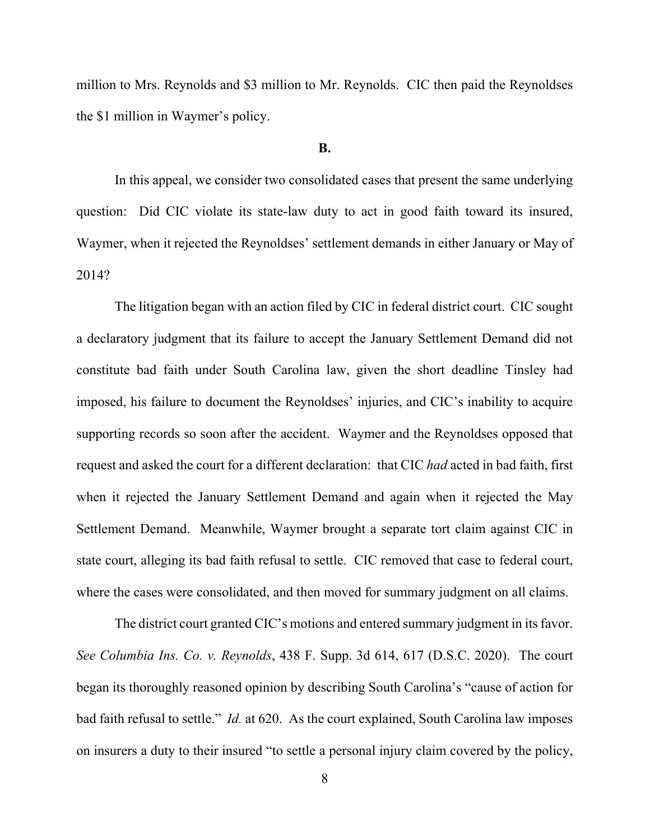million to Mrs. Reynolds and \$3 million to Mr. Reynolds. CIC then paid the Reynoldses the \$1 million in Waymer's policy.

#### **B.**

In this appeal, we consider two consolidated cases that present the same underlying question: Did CIC violate its state-law duty to act in good faith toward its insured, Waymer, when it rejected the Reynoldses' settlement demands in either January or May of 2014?

The litigation began with an action filed by CIC in federal district court. CIC sought a declaratory judgment that its failure to accept the January Settlement Demand did not constitute bad faith under South Carolina law, given the short deadline Tinsley had imposed, his failure to document the Reynoldses' injuries, and CIC's inability to acquire supporting records so soon after the accident. Waymer and the Reynoldses opposed that request and asked the court for a different declaration: that CIC *had* acted in bad faith, first when it rejected the January Settlement Demand and again when it rejected the May Settlement Demand. Meanwhile, Waymer brought a separate tort claim against CIC in state court, alleging its bad faith refusal to settle. CIC removed that case to federal court, where the cases were consolidated, and then moved for summary judgment on all claims.

The district court granted CIC's motions and entered summary judgment in its favor. *See Columbia Ins. Co. v. Reynolds*, 438 F. Supp. 3d 614, 617 (D.S.C. 2020). The court began its thoroughly reasoned opinion by describing South Carolina's "cause of action for bad faith refusal to settle." *Id.* at 620. As the court explained, South Carolina law imposes on insurers a duty to their insured "to settle a personal injury claim covered by the policy,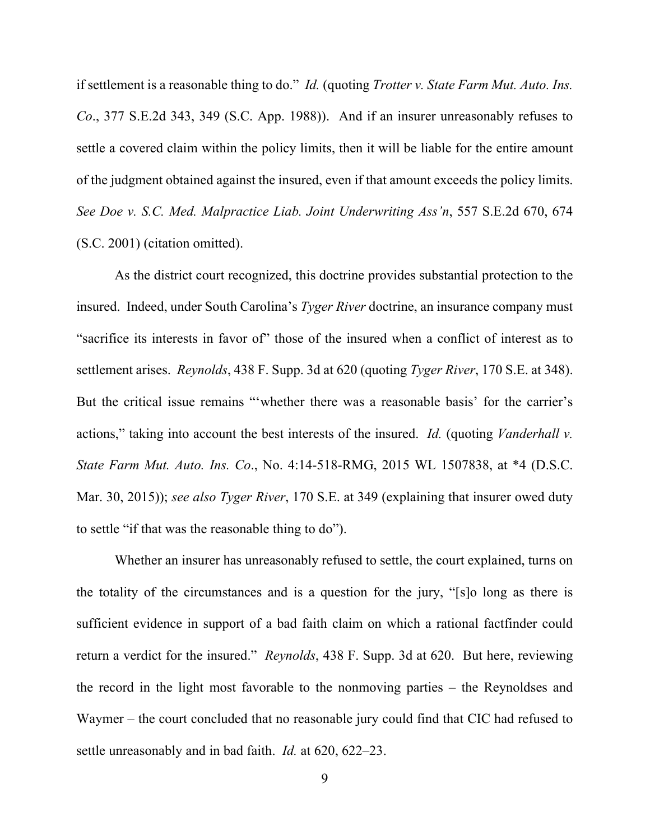if settlement is a reasonable thing to do." *Id.* (quoting *Trotter v. State Farm Mut. Auto. Ins. Co*., 377 S.E.2d 343, 349 (S.C. App. 1988)). And if an insurer unreasonably refuses to settle a covered claim within the policy limits, then it will be liable for the entire amount of the judgment obtained against the insured, even if that amount exceeds the policy limits. *See Doe v. S.C. Med. Malpractice Liab. Joint Underwriting Ass'n*, 557 S.E.2d 670, 674 (S.C. 2001) (citation omitted).

As the district court recognized, this doctrine provides substantial protection to the insured. Indeed, under South Carolina's *Tyger River* doctrine, an insurance company must "sacrifice its interests in favor of" those of the insured when a conflict of interest as to settlement arises. *Reynolds*, 438 F. Supp. 3d at 620 (quoting *Tyger River*, 170 S.E. at 348). But the critical issue remains "'whether there was a reasonable basis' for the carrier's actions," taking into account the best interests of the insured. *Id.* (quoting *Vanderhall v. State Farm Mut. Auto. Ins. Co*., No. 4:14-518-RMG, 2015 WL 1507838, at \*4 (D.S.C. Mar. 30, 2015)); *see also Tyger River*, 170 S.E. at 349 (explaining that insurer owed duty to settle "if that was the reasonable thing to do").

Whether an insurer has unreasonably refused to settle, the court explained, turns on the totality of the circumstances and is a question for the jury, "[s]o long as there is sufficient evidence in support of a bad faith claim on which a rational factfinder could return a verdict for the insured." *Reynolds*, 438 F. Supp. 3d at 620. But here, reviewing the record in the light most favorable to the nonmoving parties – the Reynoldses and Waymer – the court concluded that no reasonable jury could find that CIC had refused to settle unreasonably and in bad faith. *Id.* at 620, 622–23.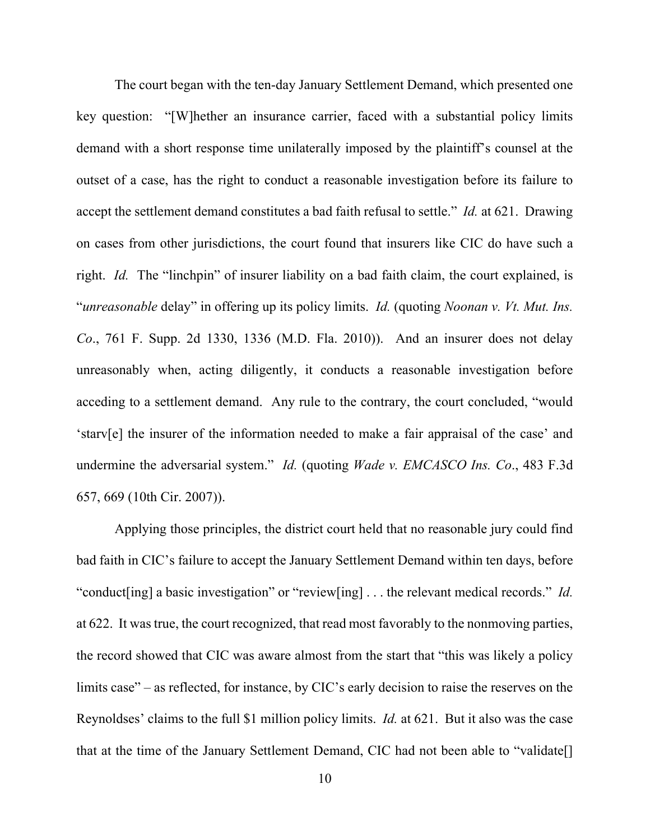The court began with the ten-day January Settlement Demand, which presented one key question: "[W]hether an insurance carrier, faced with a substantial policy limits demand with a short response time unilaterally imposed by the plaintiff's counsel at the outset of a case, has the right to conduct a reasonable investigation before its failure to accept the settlement demand constitutes a bad faith refusal to settle." *Id.* at 621. Drawing on cases from other jurisdictions, the court found that insurers like CIC do have such a right. *Id.* The "linchpin" of insurer liability on a bad faith claim, the court explained, is "*unreasonable* delay" in offering up its policy limits. *Id.* (quoting *Noonan v. Vt. Mut. Ins. Co*., 761 F. Supp. 2d 1330, 1336 (M.D. Fla. 2010)). And an insurer does not delay unreasonably when, acting diligently, it conducts a reasonable investigation before acceding to a settlement demand. Any rule to the contrary, the court concluded, "would 'starv[e] the insurer of the information needed to make a fair appraisal of the case' and undermine the adversarial system." *Id.* (quoting *Wade v. EMCASCO Ins. Co*., 483 F.3d 657, 669 (10th Cir. 2007)).

Applying those principles, the district court held that no reasonable jury could find bad faith in CIC's failure to accept the January Settlement Demand within ten days, before "conduct[ing] a basic investigation" or "review[ing] . . . the relevant medical records." *Id.* at 622. It was true, the court recognized, that read most favorably to the nonmoving parties, the record showed that CIC was aware almost from the start that "this was likely a policy limits case" – as reflected, for instance, by CIC's early decision to raise the reserves on the Reynoldses' claims to the full \$1 million policy limits. *Id.* at 621. But it also was the case that at the time of the January Settlement Demand, CIC had not been able to "validate[]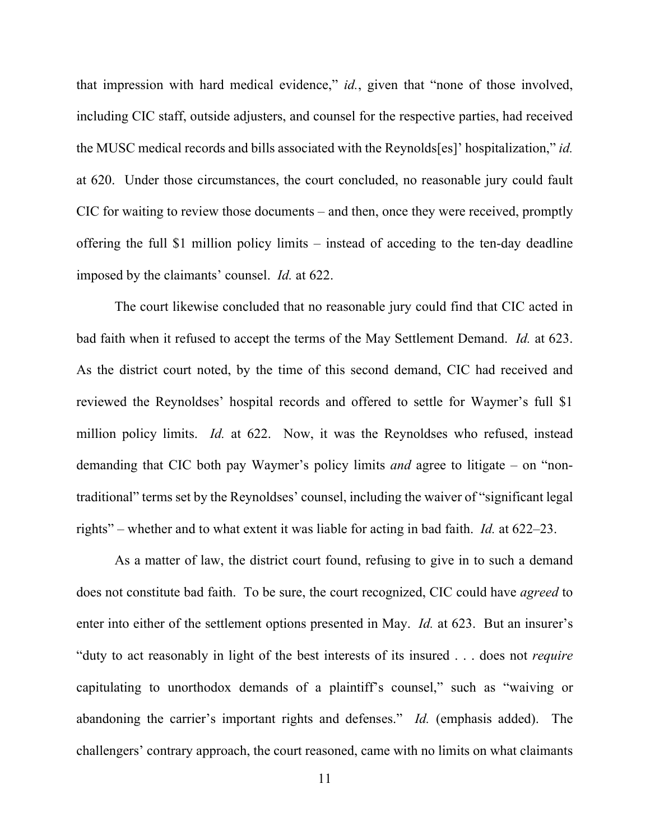that impression with hard medical evidence," *id.*, given that "none of those involved, including CIC staff, outside adjusters, and counsel for the respective parties, had received the MUSC medical records and bills associated with the Reynolds[es]' hospitalization," *id.* at 620. Under those circumstances, the court concluded, no reasonable jury could fault CIC for waiting to review those documents – and then, once they were received, promptly offering the full \$1 million policy limits – instead of acceding to the ten-day deadline imposed by the claimants' counsel. *Id.* at 622.

The court likewise concluded that no reasonable jury could find that CIC acted in bad faith when it refused to accept the terms of the May Settlement Demand. *Id.* at 623. As the district court noted, by the time of this second demand, CIC had received and reviewed the Reynoldses' hospital records and offered to settle for Waymer's full \$1 million policy limits. *Id.* at 622. Now, it was the Reynoldses who refused, instead demanding that CIC both pay Waymer's policy limits *and* agree to litigate – on "nontraditional" terms set by the Reynoldses' counsel, including the waiver of "significant legal rights" – whether and to what extent it was liable for acting in bad faith. *Id.* at 622–23.

As a matter of law, the district court found, refusing to give in to such a demand does not constitute bad faith. To be sure, the court recognized, CIC could have *agreed* to enter into either of the settlement options presented in May. *Id.* at 623. But an insurer's "duty to act reasonably in light of the best interests of its insured . . . does not *require* capitulating to unorthodox demands of a plaintiff's counsel," such as "waiving or abandoning the carrier's important rights and defenses." *Id.* (emphasis added). The challengers' contrary approach, the court reasoned, came with no limits on what claimants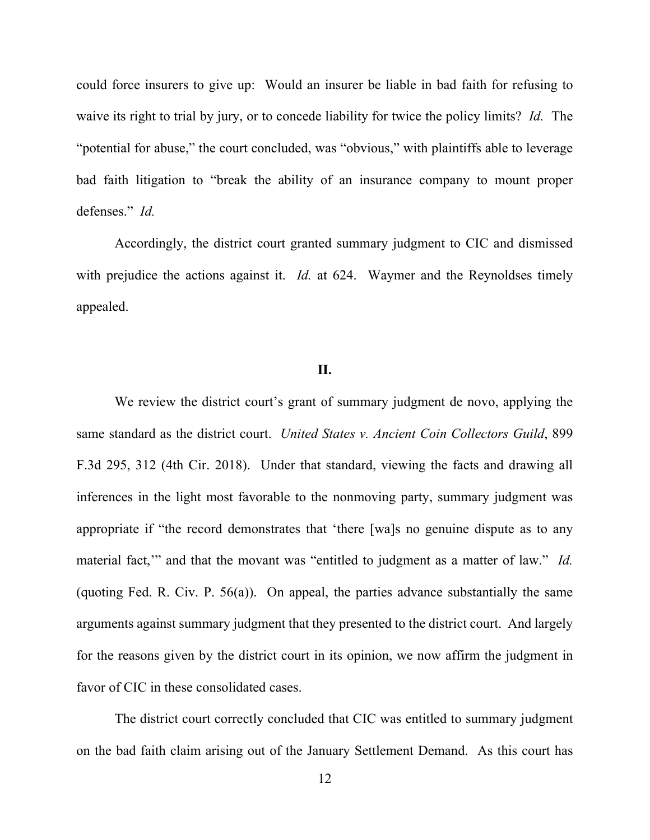could force insurers to give up: Would an insurer be liable in bad faith for refusing to waive its right to trial by jury, or to concede liability for twice the policy limits? *Id.* The "potential for abuse," the court concluded, was "obvious," with plaintiffs able to leverage bad faith litigation to "break the ability of an insurance company to mount proper defenses." *Id.*

Accordingly, the district court granted summary judgment to CIC and dismissed with prejudice the actions against it. *Id.* at 624. Waymer and the Reynoldses timely appealed.

# **II.**

We review the district court's grant of summary judgment de novo, applying the same standard as the district court. *United States v. Ancient Coin Collectors Guild*, 899 F.3d 295, 312 (4th Cir. 2018). Under that standard, viewing the facts and drawing all inferences in the light most favorable to the nonmoving party, summary judgment was appropriate if "the record demonstrates that 'there [wa]s no genuine dispute as to any material fact," and that the movant was "entitled to judgment as a matter of law." *Id.* (quoting Fed. R. Civ. P. 56(a)). On appeal, the parties advance substantially the same arguments against summary judgment that they presented to the district court. And largely for the reasons given by the district court in its opinion, we now affirm the judgment in favor of CIC in these consolidated cases.

The district court correctly concluded that CIC was entitled to summary judgment on the bad faith claim arising out of the January Settlement Demand. As this court has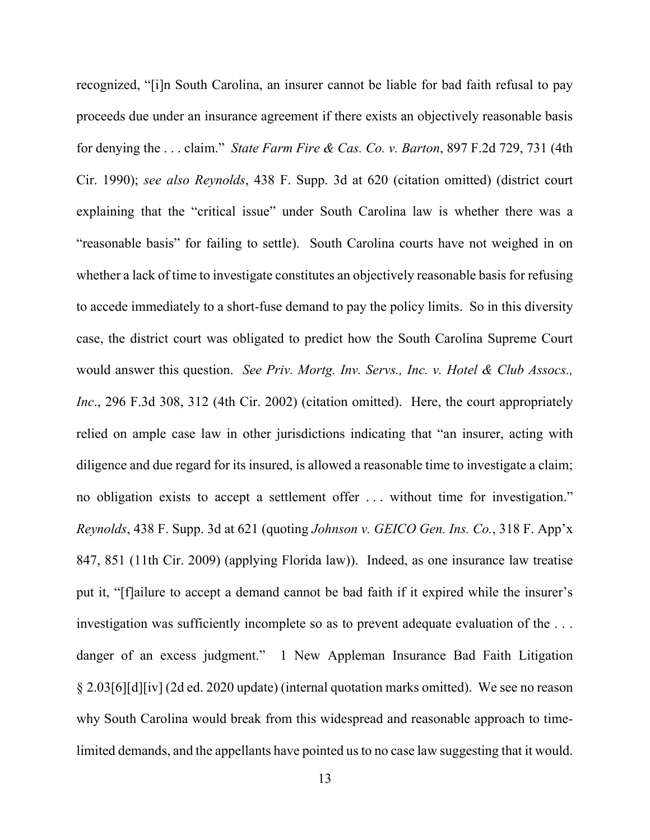recognized, "[i]n South Carolina, an insurer cannot be liable for bad faith refusal to pay proceeds due under an insurance agreement if there exists an objectively reasonable basis for denying the . . . claim." *State Farm Fire & Cas. Co. v. Barton*, 897 F.2d 729, 731 (4th Cir. 1990); *see also Reynolds*, 438 F. Supp. 3d at 620 (citation omitted) (district court explaining that the "critical issue" under South Carolina law is whether there was a "reasonable basis" for failing to settle). South Carolina courts have not weighed in on whether a lack of time to investigate constitutes an objectively reasonable basis for refusing to accede immediately to a short-fuse demand to pay the policy limits. So in this diversity case, the district court was obligated to predict how the South Carolina Supreme Court would answer this question. *See Priv. Mortg. Inv. Servs., Inc. v. Hotel & Club Assocs., Inc*., 296 F.3d 308, 312 (4th Cir. 2002) (citation omitted). Here, the court appropriately relied on ample case law in other jurisdictions indicating that "an insurer, acting with diligence and due regard for its insured, is allowed a reasonable time to investigate a claim; no obligation exists to accept a settlement offer . . . without time for investigation." *Reynolds*, 438 F. Supp. 3d at 621 (quoting *Johnson v. GEICO Gen. Ins. Co.*, 318 F. App'x 847, 851 (11th Cir. 2009) (applying Florida law)). Indeed, as one insurance law treatise put it, "[f]ailure to accept a demand cannot be bad faith if it expired while the insurer's investigation was sufficiently incomplete so as to prevent adequate evaluation of the . . . danger of an excess judgment." 1 New Appleman Insurance Bad Faith Litigation § 2.03[6][d][iv] (2d ed. 2020 update) (internal quotation marks omitted). We see no reason why South Carolina would break from this widespread and reasonable approach to timelimited demands, and the appellants have pointed us to no case law suggesting that it would.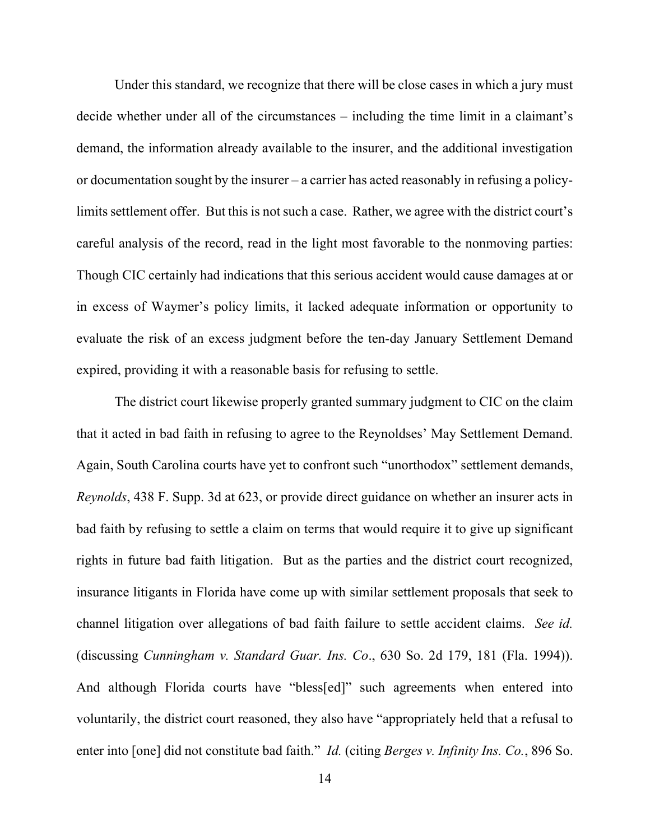Under this standard, we recognize that there will be close cases in which a jury must decide whether under all of the circumstances – including the time limit in a claimant's demand, the information already available to the insurer, and the additional investigation or documentation sought by the insurer – a carrier has acted reasonably in refusing a policylimits settlement offer. But this is not such a case. Rather, we agree with the district court's careful analysis of the record, read in the light most favorable to the nonmoving parties: Though CIC certainly had indications that this serious accident would cause damages at or in excess of Waymer's policy limits, it lacked adequate information or opportunity to evaluate the risk of an excess judgment before the ten-day January Settlement Demand expired, providing it with a reasonable basis for refusing to settle.

The district court likewise properly granted summary judgment to CIC on the claim that it acted in bad faith in refusing to agree to the Reynoldses' May Settlement Demand. Again, South Carolina courts have yet to confront such "unorthodox" settlement demands, *Reynolds*, 438 F. Supp. 3d at 623, or provide direct guidance on whether an insurer acts in bad faith by refusing to settle a claim on terms that would require it to give up significant rights in future bad faith litigation. But as the parties and the district court recognized, insurance litigants in Florida have come up with similar settlement proposals that seek to channel litigation over allegations of bad faith failure to settle accident claims. *See id.* (discussing *Cunningham v. Standard Guar. Ins. Co*., 630 So. 2d 179, 181 (Fla. 1994)). And although Florida courts have "bless[ed]" such agreements when entered into voluntarily, the district court reasoned, they also have "appropriately held that a refusal to enter into [one] did not constitute bad faith." *Id.* (citing *Berges v. Infinity Ins. Co.*, 896 So.